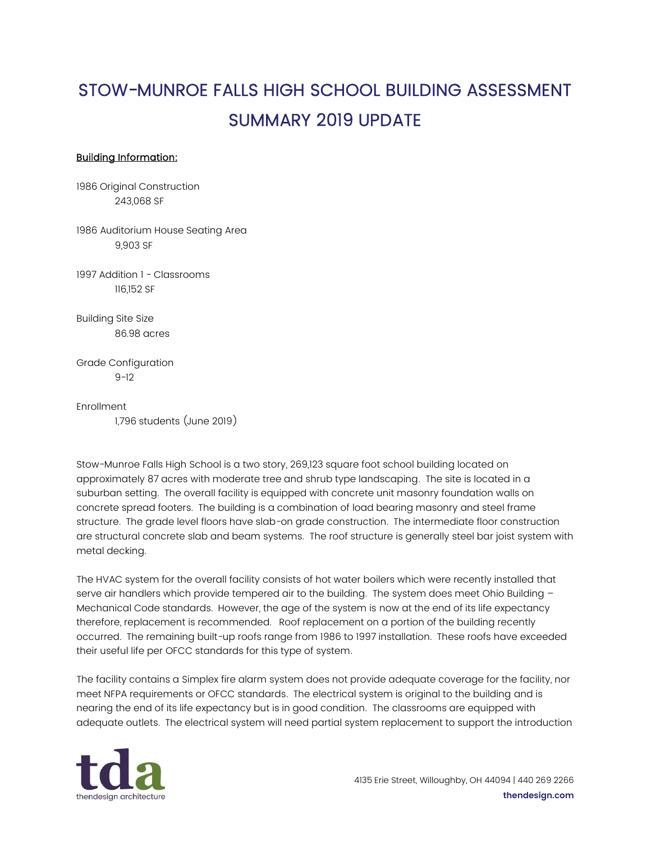## STOW-MUNROE FALLS HIGH SCHOOL BUILDING ASSESSMENT SUMMARY 2019 UPDATE

## Building Information:

1986 Original Construction 243,068 SF

1986 Auditorium House Seating Area 9,903 SF

1997 Addition 1 - Classrooms 116,152 SF

Building Site Size 86.98 acres

Grade Configuration 9-12

Enrollment 1,796 students (June 2019)

Stow-Munroe Falls High School is a two story, 269,123 square foot school building located on approximately 87 acres with moderate tree and shrub type landscaping. The site is located in a suburban setting. The overall facility is equipped with concrete unit masonry foundation walls on concrete spread footers. The building is a combination of load bearing masonry and steel frame structure. The grade level floors have slab-on grade construction. The intermediate floor construction are structural concrete slab and beam systems. The roof structure is generally steel bar joist system with metal decking.

The HVAC system for the overall facility consists of hot water boilers which were recently installed that serve air handlers which provide tempered air to the building. The system does meet Ohio Building -Mechanical Code standards. However, the age of the system is now at the end of its life expectancy therefore, replacement is recommended. Roof replacement on a portion of the building recently occurred. The remaining built-up roofs range from 1986 to 1997 installation. These roofs have exceeded their useful life per OFCC standards for this type of system.

The facility contains a Simplex fire alarm system does not provide adequate coverage for the facility, nor meet NFPA requirements or OFCC standards. The electrical system is original to the building and is nearing the end of its life expectancy but is in good condition. The classrooms are equipped with adequate outlets. The electrical system will need partial system replacement to support the introduction